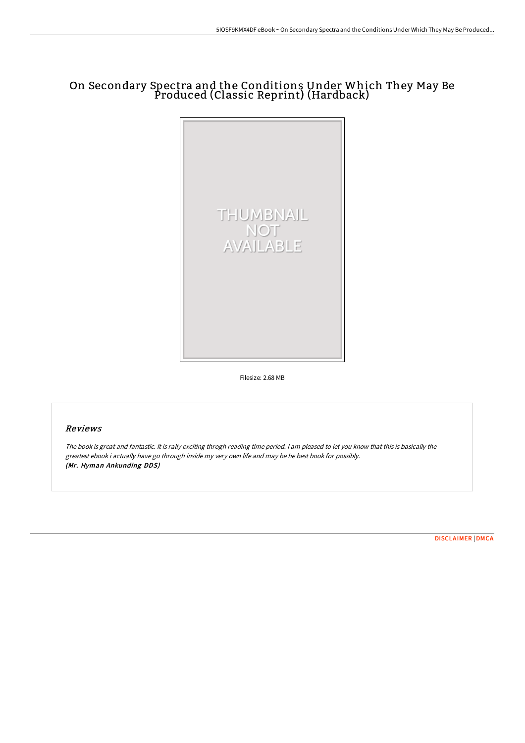# On Secondary Spectra and the Conditions Under Which They May Be Produced (Classic Reprint) (Hardback)



Filesize: 2.68 MB

# Reviews

The book is great and fantastic. It is rally exciting throgh reading time period. <sup>I</sup> am pleased to let you know that this is basically the greatest ebook i actually have go through inside my very own life and may be he best book for possibly. (Mr. Hyman Ankunding DDS)

[DISCLAIMER](http://www.bookdirs.com/disclaimer.html) | [DMCA](http://www.bookdirs.com/dmca.html)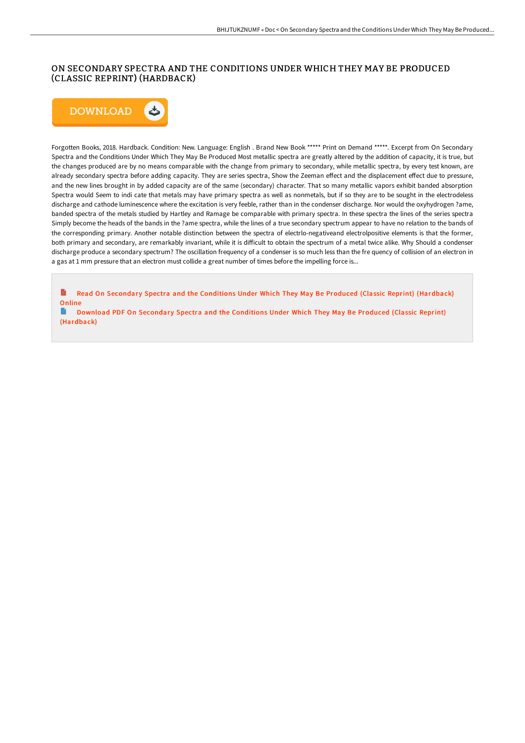# ON SECONDARY SPECTRA AND THE CONDITIONS UNDER WHICH THEY MAY BE PRODUCED (CLASSIC REPRINT) (HARDBACK)



Forgotten Books, 2018. Hardback. Condition: New. Language: English . Brand New Book \*\*\*\*\* Print on Demand \*\*\*\*\*. Excerpt from On Secondary Spectra and the Conditions Under Which They May Be Produced Most metallic spectra are greatly altered by the addition of capacity, it is true, but the changes produced are by no means comparable with the change from primary to secondary, while metallic spectra, by every test known, are already secondary spectra before adding capacity. They are series spectra, Show the Zeeman effect and the displacement effect due to pressure, and the new lines brought in by added capacity are of the same (secondary) character. That so many metallic vapors exhibit banded absorption Spectra would Seem to indi cate that metals may have primary spectra as well as nonmetals, but if so they are to be sought in the electrodeless discharge and cathode luminescence where the excitation is very feeble, rather than in the condenser discharge. Nor would the oxyhydrogen ?ame, banded spectra of the metals studied by Hartley and Ramage be comparable with primary spectra. In these spectra the lines of the series spectra Simply become the heads of the bands in the ?ame spectra, while the lines of a true secondary spectrum appear to have no relation to the bands of the corresponding primary. Another notable distinction between the spectra of electrlo-negativeand electrolpositive elements is that the former, both primary and secondary, are remarkably invariant, while it is difficult to obtain the spectrum of a metal twice alike. Why Should a condenser discharge produce a secondary spectrum? The oscillation frequency of a condenser is so much less than the fre quency of collision of an electron in a gas at 1 mm pressure that an electron must collide a great number of times before the impelling force is...

B Read On Secondary Spectra and the Conditions Under Which They May Be Produced (Classic Reprint) [\(Hardback\)](http://www.bookdirs.com/on-secondary-spectra-and-the-conditions-under-wh-1.html) **Online** 

B Download PDF On Secondary Spectra and the Conditions Under Which They May Be Produced (Classic Reprint) [\(Hardback\)](http://www.bookdirs.com/on-secondary-spectra-and-the-conditions-under-wh-1.html)